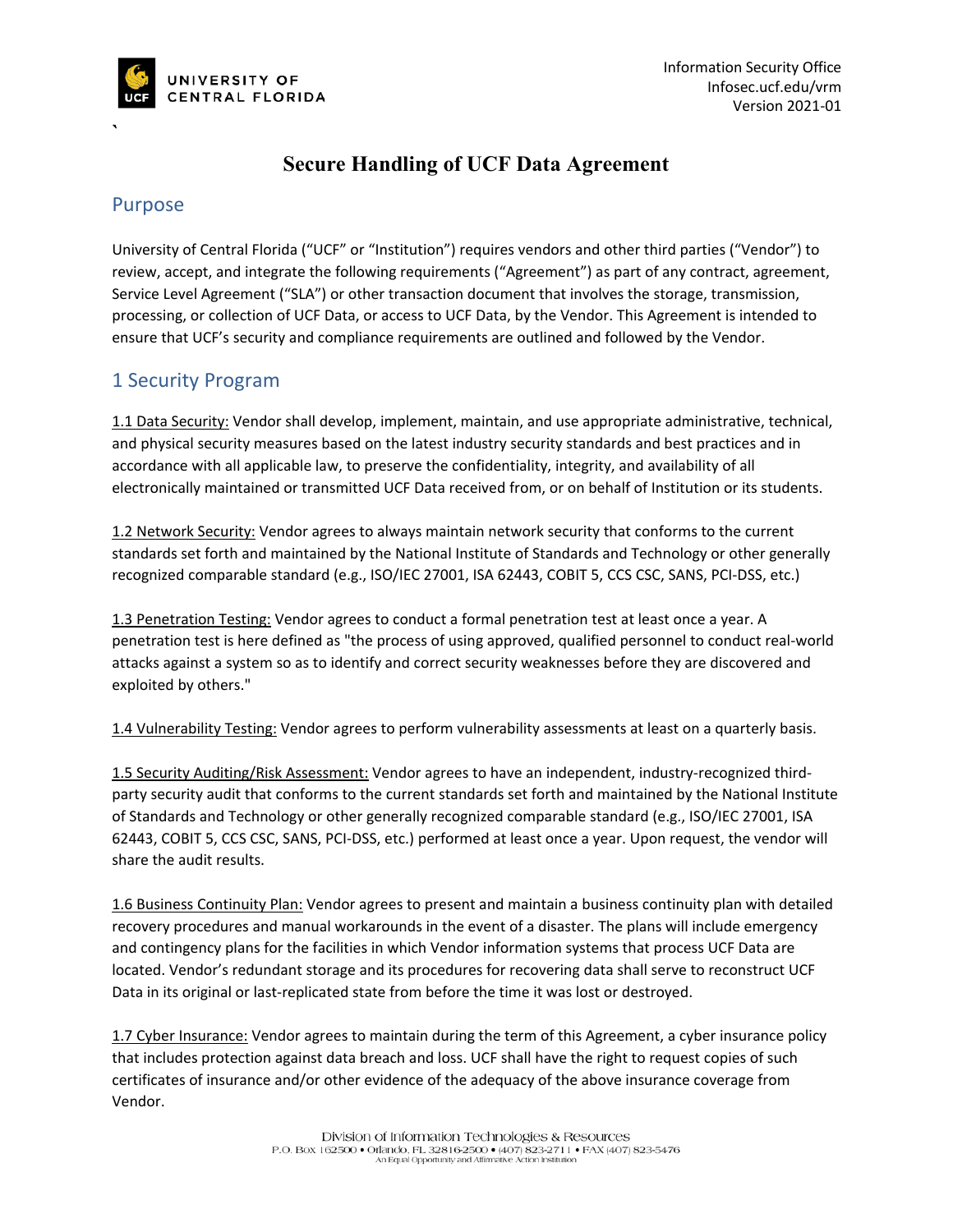

# **Secure Handling of UCF Data Agreement**

### Purpose

**`**

University of Central Florida ("UCF" or "Institution") requires vendors and other third parties ("Vendor") to review, accept, and integrate the following requirements ("Agreement") as part of any contract, agreement, Service Level Agreement ("SLA") or other transaction document that involves the storage, transmission, processing, or collection of UCF Data, or access to UCF Data, by the Vendor. This Agreement is intended to ensure that UCF's security and compliance requirements are outlined and followed by the Vendor.

## 1 Security Program

1.1 Data Security: Vendor shall develop, implement, maintain, and use appropriate administrative, technical, and physical security measures based on the latest industry security standards and best practices and in accordance with all applicable law, to preserve the confidentiality, integrity, and availability of all electronically maintained or transmitted UCF Data received from, or on behalf of Institution or its students.

1.2 Network Security: Vendor agrees to always maintain network security that conforms to the current standards set forth and maintained by the National Institute of Standards and Technology or other generally recognized comparable standard (e.g., ISO/IEC 27001, ISA 62443, COBIT 5, CCS CSC, SANS, PCI-DSS, etc.)

1.3 Penetration Testing: Vendor agrees to conduct a formal penetration test at least once a year. A penetration test is here defined as "the process of using approved, qualified personnel to conduct real-world attacks against a system so as to identify and correct security weaknesses before they are discovered and exploited by others."

1.4 Vulnerability Testing: Vendor agrees to perform vulnerability assessments at least on a quarterly basis.

1.5 Security Auditing/Risk Assessment: Vendor agrees to have an independent, industry-recognized thirdparty security audit that conforms to the current standards set forth and maintained by the National Institute of Standards and Technology or other generally recognized comparable standard (e.g., ISO/IEC 27001, ISA 62443, COBIT 5, CCS CSC, SANS, PCI-DSS, etc.) performed at least once a year. Upon request, the vendor will share the audit results.

1.6 Business Continuity Plan: Vendor agrees to present and maintain a business continuity plan with detailed recovery procedures and manual workarounds in the event of a disaster. The plans will include emergency and contingency plans for the facilities in which Vendor information systems that process UCF Data are located. Vendor's redundant storage and its procedures for recovering data shall serve to reconstruct UCF Data in its original or last-replicated state from before the time it was lost or destroyed.

1.7 Cyber Insurance: Vendor agrees to maintain during the term of this Agreement, a cyber insurance policy that includes protection against data breach and loss. UCF shall have the right to request copies of such certificates of insurance and/or other evidence of the adequacy of the above insurance coverage from Vendor.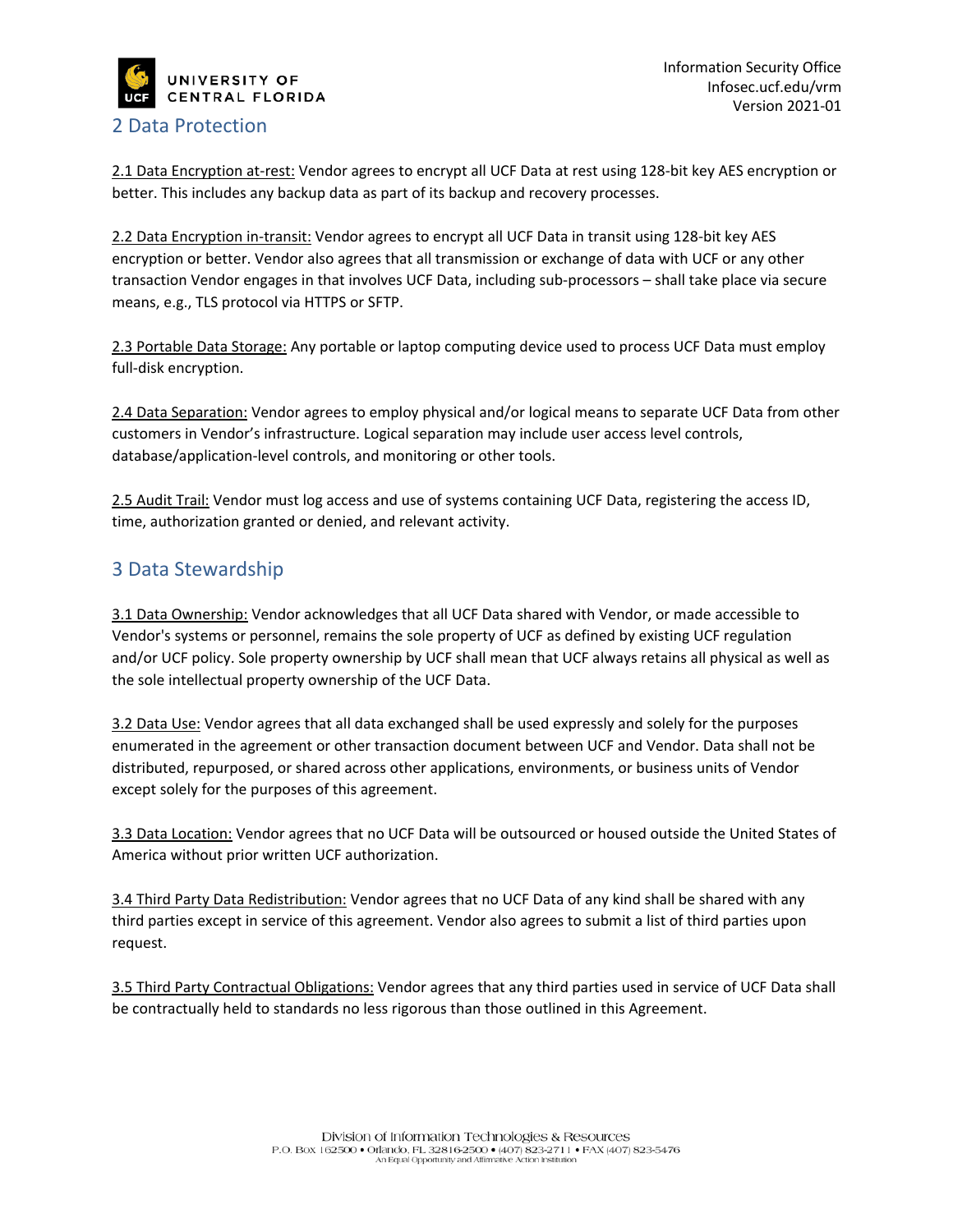

### 2 Data Protection

2.1 Data Encryption at-rest: Vendor agrees to encrypt all UCF Data at rest using 128-bit key AES encryption or better. This includes any backup data as part of its backup and recovery processes.

2.2 Data Encryption in-transit: Vendor agrees to encrypt all UCF Data in transit using 128-bit key AES encryption or better. Vendor also agrees that all transmission or exchange of data with UCF or any other transaction Vendor engages in that involves UCF Data, including sub-processors – shall take place via secure means, e.g., TLS protocol via HTTPS or SFTP.

2.3 Portable Data Storage: Any portable or laptop computing device used to process UCF Data must employ full-disk encryption.

2.4 Data Separation: Vendor agrees to employ physical and/or logical means to separate UCF Data from other customers in Vendor's infrastructure. Logical separation may include user access level controls, database/application-level controls, and monitoring or other tools.

2.5 Audit Trail: Vendor must log access and use of systems containing UCF Data, registering the access ID, time, authorization granted or denied, and relevant activity.

## 3 Data Stewardship

3.1 Data Ownership: Vendor acknowledges that all UCF Data shared with Vendor, or made accessible to Vendor's systems or personnel, remains the sole property of UCF as defined by existing UCF regulation and/or UCF policy. Sole property ownership by UCF shall mean that UCF always retains all physical as well as the sole intellectual property ownership of the UCF Data.

3.2 Data Use: Vendor agrees that all data exchanged shall be used expressly and solely for the purposes enumerated in the agreement or other transaction document between UCF and Vendor. Data shall not be distributed, repurposed, or shared across other applications, environments, or business units of Vendor except solely for the purposes of this agreement.

3.3 Data Location: Vendor agrees that no UCF Data will be outsourced or housed outside the United States of America without prior written UCF authorization.

3.4 Third Party Data Redistribution: Vendor agrees that no UCF Data of any kind shall be shared with any third parties except in service of this agreement. Vendor also agrees to submit a list of third parties upon request.

3.5 Third Party Contractual Obligations: Vendor agrees that any third parties used in service of UCF Data shall be contractually held to standards no less rigorous than those outlined in this Agreement.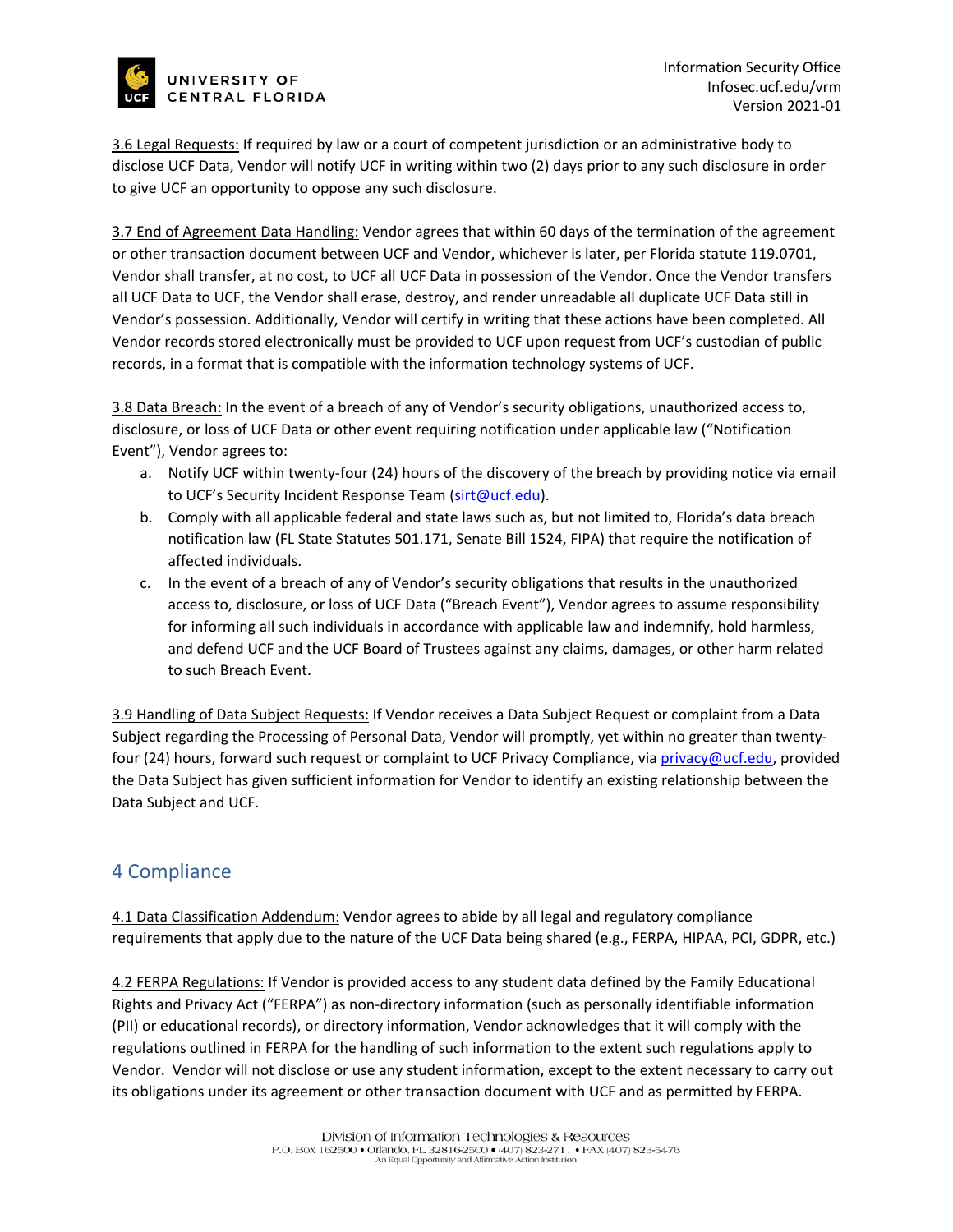

3.6 Legal Requests: If required by law or a court of competent jurisdiction or an administrative body to disclose UCF Data, Vendor will notify UCF in writing within two (2) days prior to any such disclosure in order to give UCF an opportunity to oppose any such disclosure.

3.7 End of Agreement Data Handling: Vendor agrees that within 60 days of the termination of the agreement or other transaction document between UCF and Vendor, whichever is later, per Florida statute 119.0701, Vendor shall transfer, at no cost, to UCF all UCF Data in possession of the Vendor. Once the Vendor transfers all UCF Data to UCF, the Vendor shall erase, destroy, and render unreadable all duplicate UCF Data still in Vendor's possession. Additionally, Vendor will certify in writing that these actions have been completed. All Vendor records stored electronically must be provided to UCF upon request from UCF's custodian of public records, in a format that is compatible with the information technology systems of UCF.

3.8 Data Breach: In the event of a breach of any of Vendor's security obligations, unauthorized access to, disclosure, or loss of UCF Data or other event requiring notification under applicable law ("Notification Event"), Vendor agrees to:

- a. Notify UCF within twenty-four (24) hours of the discovery of the breach by providing notice via email to UCF's Security Incident Response Team [\(sirt@ucf.edu\)](mailto:sirt@ucf.edu).
- b. Comply with all applicable federal and state laws such as, but not limited to, Florida's data breach notification law (FL State Statutes 501.171, Senate Bill 1524, FIPA) that require the notification of affected individuals.
- c. In the event of a breach of any of Vendor's security obligations that results in the unauthorized access to, disclosure, or loss of UCF Data ("Breach Event"), Vendor agrees to assume responsibility for informing all such individuals in accordance with applicable law and indemnify, hold harmless, and defend UCF and the UCF Board of Trustees against any claims, damages, or other harm related to such Breach Event.

3.9 Handling of Data Subject Requests: If Vendor receives a Data Subject Request or complaint from a Data Subject regarding the Processing of Personal Data, Vendor will promptly, yet within no greater than twentyfour (24) hours, forward such request or complaint to UCF Privacy Compliance, vi[a privacy@ucf.edu,](mailto:privacy@ucf.edu) provided the Data Subject has given sufficient information for Vendor to identify an existing relationship between the Data Subject and UCF.

## 4 Compliance

4.1 Data Classification Addendum: Vendor agrees to abide by all legal and regulatory compliance requirements that apply due to the nature of the UCF Data being shared (e.g., FERPA, HIPAA, PCI, GDPR, etc.)

4.2 FERPA Regulations: If Vendor is provided access to any student data defined by the Family Educational Rights and Privacy Act ("FERPA") as non-directory information (such as personally identifiable information (PII) or educational records), or directory information, Vendor acknowledges that it will comply with the regulations outlined in FERPA for the handling of such information to the extent such regulations apply to Vendor. Vendor will not disclose or use any student information, except to the extent necessary to carry out its obligations under its agreement or other transaction document with UCF and as permitted by FERPA.